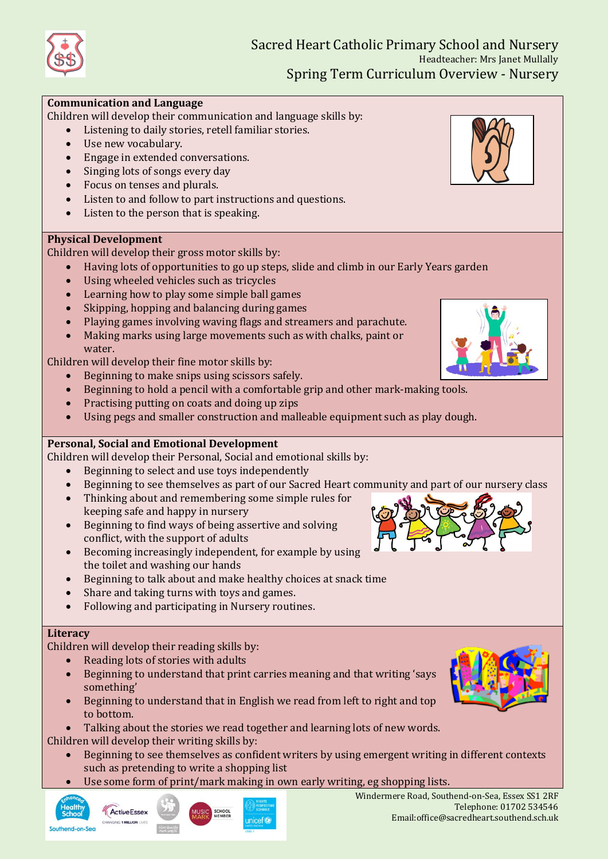# Sacred Heart Catholic Primary School and Nursery Headteacher: Mrs Janet Mullally Spring Term Curriculum Overview - Nursery

### **Communication and Language**

Children will develop their communication and language skills by:

- Listening to daily stories, retell familiar stories.
- Use new vocabulary.
- Engage in extended conversations.
- Singing lots of songs every day
- Focus on tenses and plurals.
- Listen to and follow to part instructions and questions.
- Listen to the person that is speaking.

#### **Physical Development**

Children will develop their gross motor skills by:

- Having lots of opportunities to go up steps, slide and climb in our Early Years garden
- Using wheeled vehicles such as tricycles
- Learning how to play some simple ball games
- Skipping, hopping and balancing during games
- Playing games involving waving flags and streamers and parachute.
- Making marks using large movements such as with chalks, paint or water.

Children will develop their fine motor skills by:

- Beginning to make snips using scissors safely.
- Beginning to hold a pencil with a comfortable grip and other mark-making tools.
- Practising putting on coats and doing up zips
- Using pegs and smaller construction and malleable equipment such as play dough.

## **Personal, Social and Emotional Development**

Children will develop their Personal, Social and emotional skills by:

- Beginning to select and use toys independently
- Beginning to see themselves as part of our Sacred Heart community and part of our nursery class
- Thinking about and remembering some simple rules for keeping safe and happy in nursery
- Beginning to find ways of being assertive and solving conflict, with the support of adults
- Becoming increasingly independent, for example by using the toilet and washing our hands
- Beginning to talk about and make healthy choices at snack time
- Share and taking turns with toys and games.
- Following and participating in Nursery routines.

#### **Literacy**

Children will develop their reading skills by:

- Reading lots of stories with adults
- Beginning to understand that print carries meaning and that writing 'says something'
- Beginning to understand that in English we read from left to right and top to bottom.
- Talking about the stories we read together and learning lots of new words. Children will develop their writing skills by:
	- Beginning to see themselves as confident writers by using emergent writing in different contexts such as pretending to write a shopping list
	- Use some form of print/mark making in own early writing, eg shopping lists.